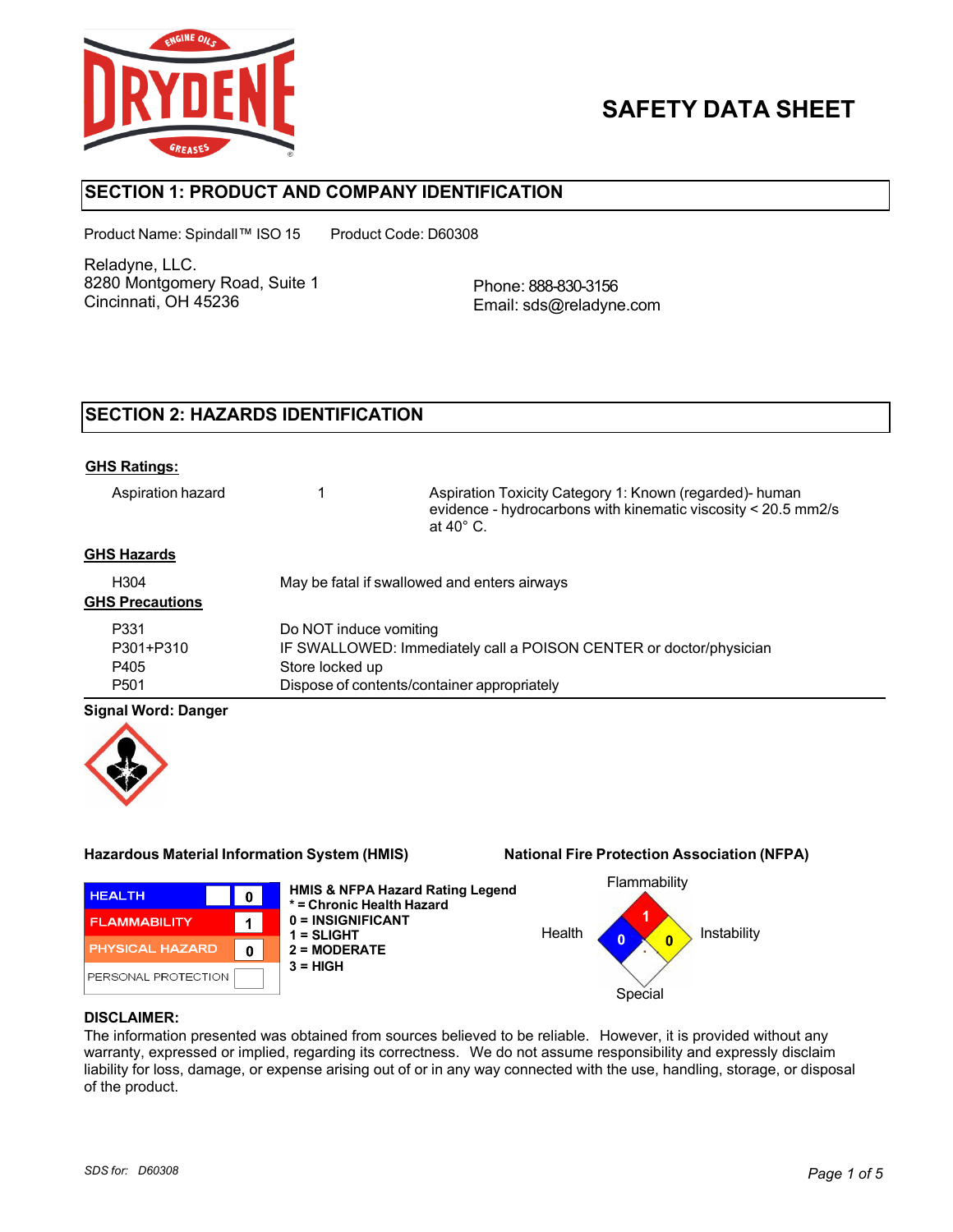

# **SAFETY DATA SHEET**

# **SECTION 1: PRODUCT AND COMPANY IDENTIFICATION**

Product Name: Spindall™ ISO 15 Product Code: D60308

Reladyne, LLC. 8280 Montgomery Road, Suite 1 Cincinnati, OH 45236

Phone: 888-830-3156 Email: sds@reladyne.com

# **SECTION 2: HAZARDS IDENTIFICATION**

#### **GHS Ratings:**

Aspiration hazard 1 Aspiration Toxicity Category 1: Known (regarded)- human evidence - hydrocarbons with kinematic viscosity < 20.5 mm2/s at 40° C.

### **GHS Hazards**

| H <sub>304</sub><br><b>GHS Precautions</b> | May be fatal if swallowed and enters airways                       |
|--------------------------------------------|--------------------------------------------------------------------|
| P331                                       | Do NOT induce vomiting                                             |
| P301+P310                                  | IF SWALLOWED: Immediately call a POISON CENTER or doctor/physician |
| P405                                       | Store locked up                                                    |
| P <sub>501</sub>                           | Dispose of contents/container appropriately                        |

#### **Signal Word: Danger**



#### **Hazardous Material Information System (HMIS) National Fire Protection Association (NFPA)**



**HMIS & NFPA Hazard Rating Legend \* = Chronic Health Hazard 0 = INSIGNIFICANT 1 = SLIGHT 2 = MODERATE 3 = HIGH**



#### **DISCLAIMER:**

The information presented was obtained from sources believed to be reliable. However, it is provided without any warranty, expressed or implied, regarding its correctness. We do not assume responsibility and expressly disclaim liability for loss, damage, or expense arising out of or in any way connected with the use, handling, storage, or disposal of the product.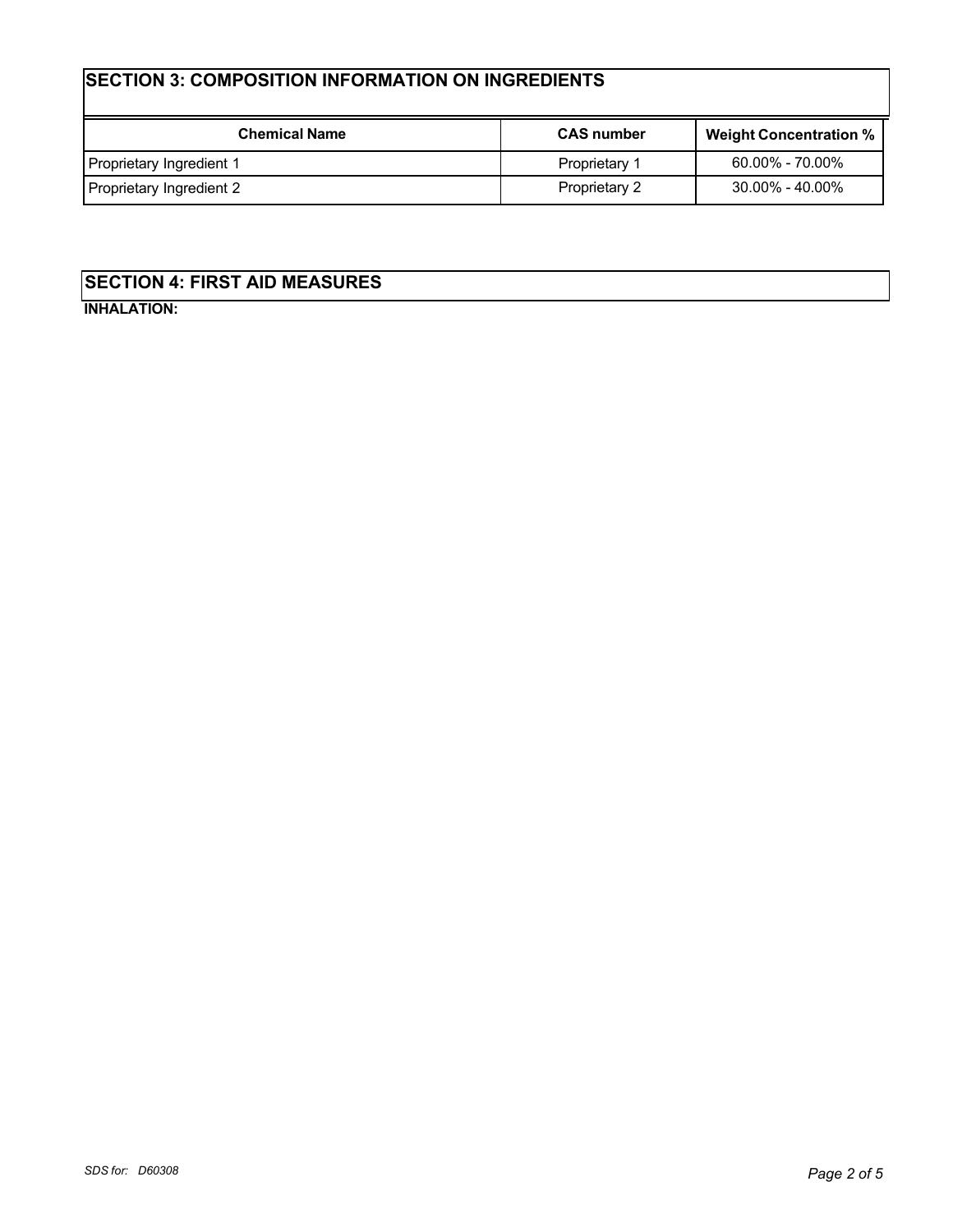# **SECTION 3: COMPOSITION INFORMATION ON INGREDIENTS**

| <b>Chemical Name</b>     | <b>CAS number</b> | <b>Weight Concentration %</b> |
|--------------------------|-------------------|-------------------------------|
| Proprietary Ingredient 1 | Proprietary 1     | $60.00\%$ - $70.00\%$         |
| Proprietary Ingredient 2 | Proprietary 2     | 30.00% - 40.00%               |

# **SECTION 4: FIRST AID MEASURES**

**INHALATION:**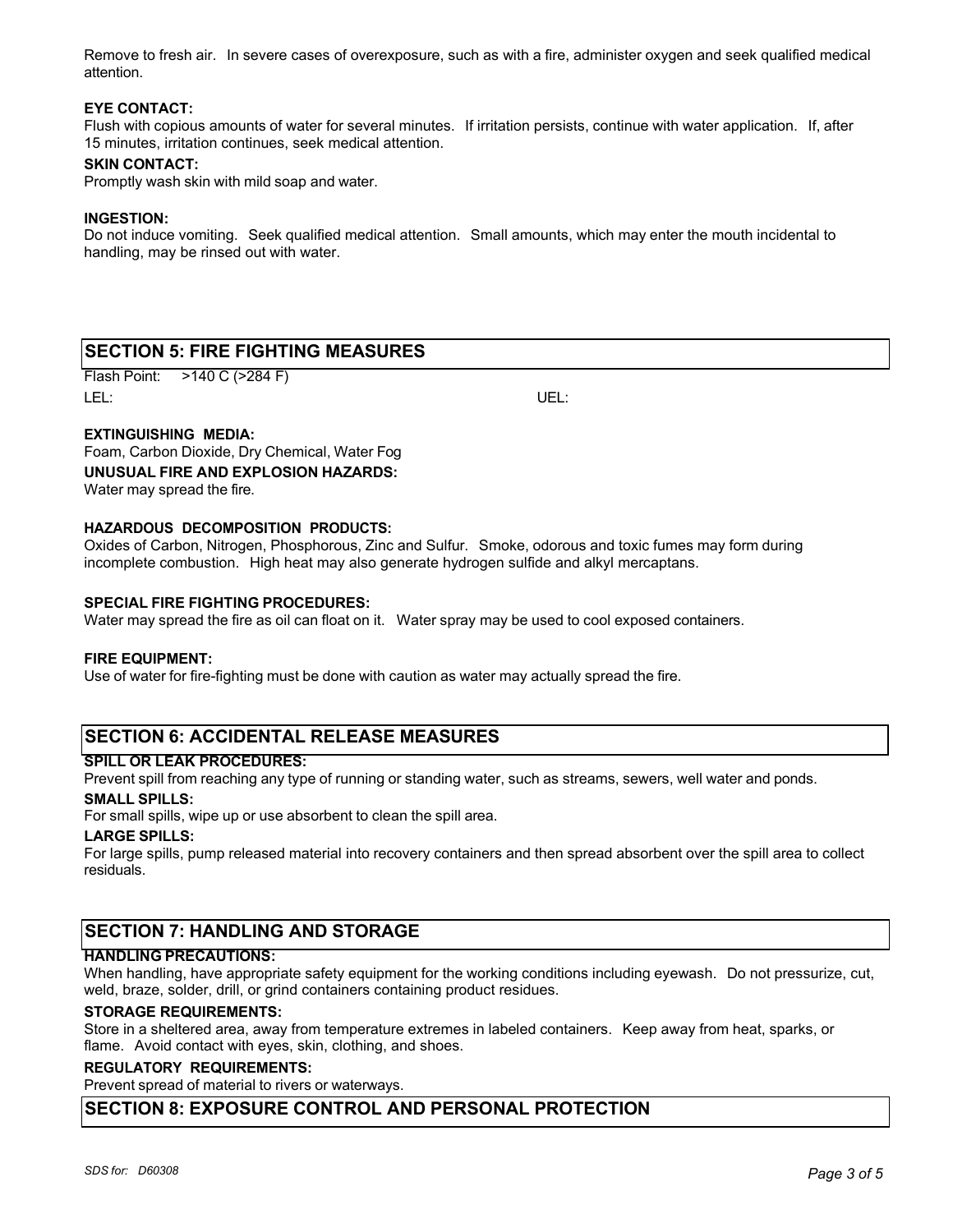Remove to fresh air. In severe cases of overexposure, such as with a fire, administer oxygen and seek qualified medical attention.

#### **EYE CONTACT:**

Flush with copious amounts of water for several minutes. If irritation persists, continue with water application. If, after 15 minutes, irritation continues, seek medical attention.

#### **SKIN CONTACT:**

Promptly wash skin with mild soap and water.

#### **INGESTION:**

Do not induce vomiting. Seek qualified medical attention. Small amounts, which may enter the mouth incidental to handling, may be rinsed out with water.

# **SECTION 5: FIRE FIGHTING MEASURES**

Flash Point: >140 C (>284 F) LEL: UEL:

#### **EXTINGUISHING MEDIA:**

Foam, Carbon Dioxide, Dry Chemical, Water Fog **UNUSUAL FIRE AND EXPLOSION HAZARDS:** Water may spread the fire.

# **HAZARDOUS DECOMPOSITION PRODUCTS:**

Oxides of Carbon, Nitrogen, Phosphorous, Zinc and Sulfur. Smoke, odorous and toxic fumes may form during incomplete combustion. High heat may also generate hydrogen sulfide and alkyl mercaptans.

#### **SPECIAL FIRE FIGHTING PROCEDURES:**

Water may spread the fire as oil can float on it. Water spray may be used to cool exposed containers.

#### **FIRE EQUIPMENT:**

Use of water for fire-fighting must be done with caution as water may actually spread the fire.

# **SECTION 6: ACCIDENTAL RELEASE MEASURES**

#### **SPILL OR LEAK PROCEDURES:**

Prevent spill from reaching any type of running or standing water, such as streams, sewers, well water and ponds.

# **SMALL SPILLS:**

For small spills, wipe up or use absorbent to clean the spill area.

#### **LARGE SPILLS:**

For large spills, pump released material into recovery containers and then spread absorbent over the spill area to collect residuals.

# **SECTION 7: HANDLING AND STORAGE**

#### **HANDLING PRECAUTIONS:**

When handling, have appropriate safety equipment for the working conditions including eyewash. Do not pressurize, cut, weld, braze, solder, drill, or grind containers containing product residues.

#### **STORAGE REQUIREMENTS:**

Store in a sheltered area, away from temperature extremes in labeled containers. Keep away from heat, sparks, or flame. Avoid contact with eyes, skin, clothing, and shoes.

#### **REGULATORY REQUIREMENTS:**

Prevent spread of material to rivers or waterways.

# **SECTION 8: EXPOSURE CONTROL AND PERSONAL PROTECTION**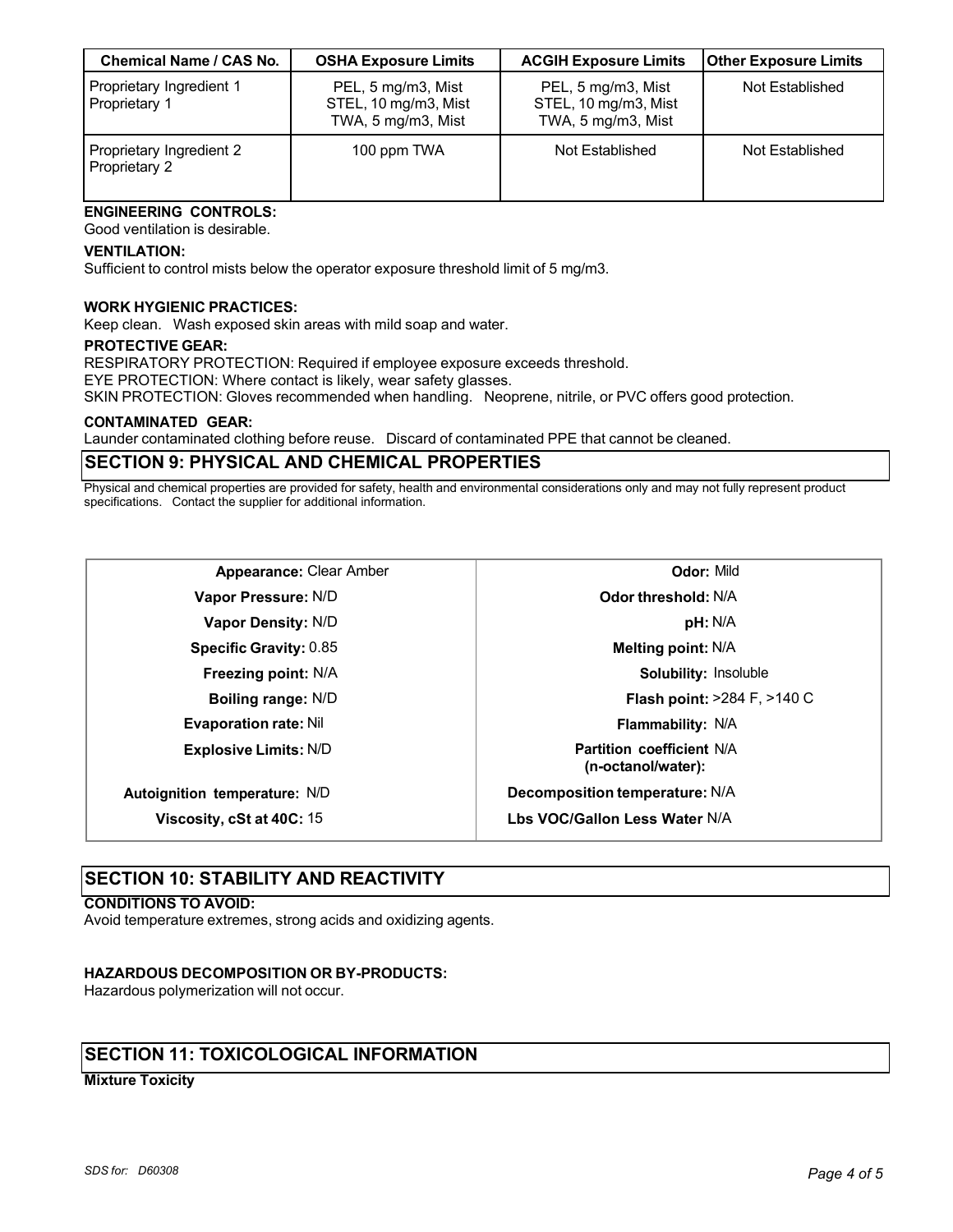| <b>Chemical Name / CAS No.</b>            | <b>OSHA Exposure Limits</b>                                      | <b>ACGIH Exposure Limits</b>                                     | <b>Other Exposure Limits</b> |
|-------------------------------------------|------------------------------------------------------------------|------------------------------------------------------------------|------------------------------|
| Proprietary Ingredient 1<br>Proprietary 1 | PEL, 5 mg/m3, Mist<br>STEL, 10 mg/m3, Mist<br>TWA, 5 mg/m3, Mist | PEL, 5 mg/m3, Mist<br>STEL, 10 mg/m3, Mist<br>TWA, 5 mg/m3, Mist | Not Established              |
| Proprietary Ingredient 2<br>Proprietary 2 | 100 ppm TWA                                                      | Not Established                                                  | Not Established              |

#### **ENGINEERING CONTROLS:** Good ventilation is desirable.

#### **VENTILATION:**

Sufficient to control mists below the operator exposure threshold limit of 5 mg/m3.

#### **WORK HYGIENIC PRACTICES:**

Keep clean. Wash exposed skin areas with mild soap and water.

#### **PROTECTIVE GEAR:**

RESPIRATORY PROTECTION: Required if employee exposure exceeds threshold.

EYE PROTECTION: Where contact is likely, wear safety glasses.

SKIN PROTECTION: Gloves recommended when handling. Neoprene, nitrile, or PVC offers good protection.

#### **CONTAMINATED GEAR:**

Launder contaminated clothing before reuse. Discard of contaminated PPE that cannot be cleaned.

# **SECTION 9: PHYSICAL AND CHEMICAL PROPERTIES**

Physical and chemical properties are provided for safety, health and environmental considerations only and may not fully represent product specifications. Contact the supplier for additional information.

| <b>Appearance: Clear Amber</b> |  |
|--------------------------------|--|
|--------------------------------|--|

**Vapor Pressure:** N/D **Vapor Density:** N/D **Specific Gravity:** 0.85 **Freezing point:** N/A **Boiling range:** N/D **Evaporation rate:** Nil

**Explosive Limits:** N/D

**Autoignition temperature:** N/D

**Viscosity, cSt at 40C:** 15

# **Odor:** Mild **Odor threshold:** N/A **pH:** N/A **Melting point:** N/A **Solubility:** Insoluble **Flash point:** >284 F, >140 C **Flammability:** N/A **Partition coefficient** N/A **(n-octanol/water): Decomposition temperature:** N/A **Lbs VOC/Gallon Less Water** N/A

# **SECTION 10: STABILITY AND REACTIVITY**

#### **CONDITIONS TO AVOID:**

Avoid temperature extremes, strong acids and oxidizing agents.

#### **HAZARDOUS DECOMPOSITION OR BY-PRODUCTS:**

Hazardous polymerization will not occur.

# **SECTION 11: TOXICOLOGICAL INFORMATION**

#### **Mixture Toxicity**